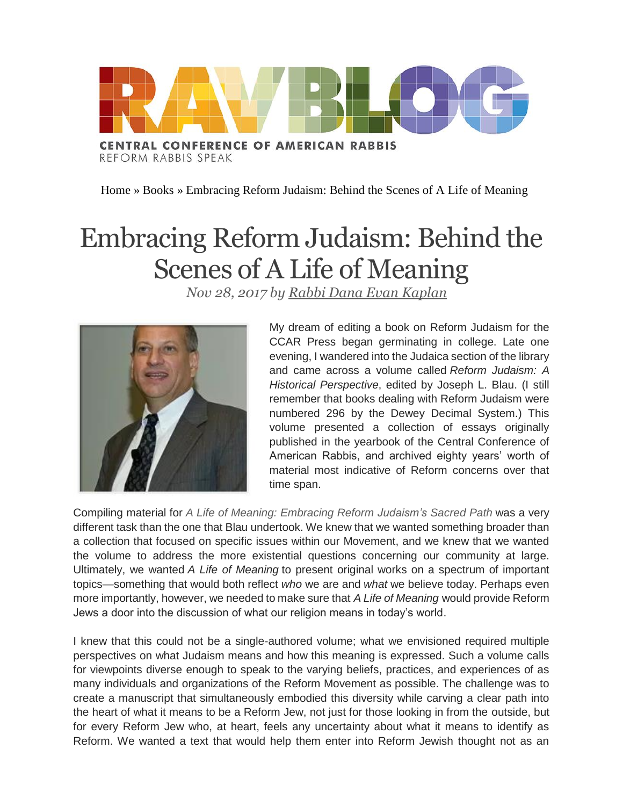

[Home](http://ravblog.ccarnet.org/) » [Books](http://ravblog.ccarnet.org/category/books/) » Embracing Reform Judaism: Behind the Scenes of A Life of Meaning

## Embracing Reform Judaism: Behind the Scenes of A Life of Meaning

*Nov 28, 2017 by Rabbi Dana Evan [Kaplan](http://ravblog.ccarnet.org/author/dkaplan/)*



My dream of editing a book on Reform Judaism for the CCAR Press began germinating in college. Late one evening, I wandered into the Judaica section of the library and came across a volume called *Reform Judaism: A Historical Perspective*, edited by Joseph L. Blau. (I still remember that books dealing with Reform Judaism were numbered 296 by the Dewey Decimal System.) This volume presented a collection of essays originally published in the yearbook of the Central Conference of American Rabbis, and archived eighty years' worth of material most indicative of Reform concerns over that time span.

Compiling material for *A Life of Meaning: [Embracing](https://www.ccarpress.org/shopping_product_detail.asp?pid=50397) Reform Judaism's Sacred Path* was a very different task than the one that Blau undertook. We knew that we wanted something broader than a collection that focused on specific issues within our Movement, and we knew that we wanted the volume to address the more existential questions concerning our community at large. Ultimately, we wanted *A Life of Meaning* to present original works on a spectrum of important topics—something that would both reflect *who* we are and *what* we believe today. Perhaps even more importantly, however, we needed to make sure that *A Life of Meaning* would provide Reform Jews a door into the discussion of what our religion means in today's world.

I knew that this could not be a single-authored volume; what we envisioned required multiple perspectives on what Judaism means and how this meaning is expressed. Such a volume calls for viewpoints diverse enough to speak to the varying beliefs, practices, and experiences of as many individuals and organizations of the Reform Movement as possible. The challenge was to create a manuscript that simultaneously embodied this diversity while carving a clear path into the heart of what it means to be a Reform Jew, not just for those looking in from the outside, but for every Reform Jew who, at heart, feels any uncertainty about what it means to identify as Reform. We wanted a text that would help them enter into Reform Jewish thought not as an